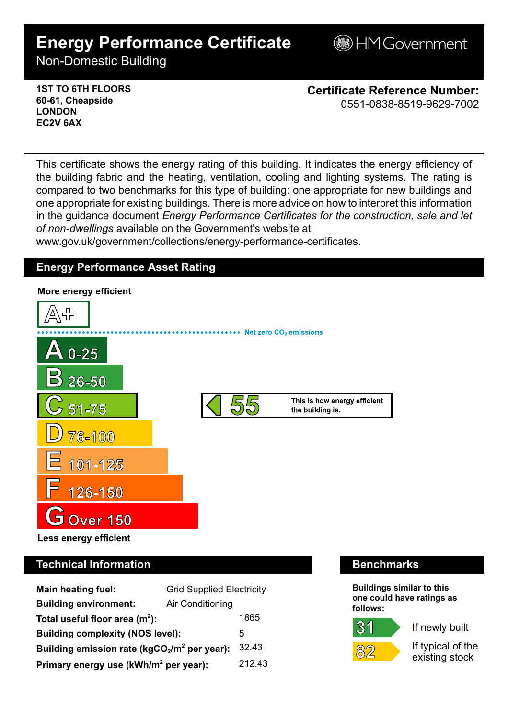# **Energy Performance Certificate**

**B**HM Government

Non-Domestic Building

### **1ST TO 6TH FLOORS 60-61, Cheapside LONDON EC2V 6AX**

**Certificate Reference Number:** 0551-0838-8519-9629-7002

This certificate shows the energy rating of this building. It indicates the energy efficiency of the building fabric and the heating, ventilation, cooling and lighting systems. The rating is compared to two benchmarks for this type of building: one appropriate for new buildings and one appropriate for existing buildings. There is more advice on how to interpret this information in the guidance document *Energy Performance Certificates for the construction, sale and let of non-dwellings* available on the Government's website at

www.gov.uk/government/collections/energy-performance-certificates.

# **Energy Performance Asset Rating**



# **Technical Information Benchmarks**

| <b>Main heating fuel:</b><br><b>Grid Supplied Electricity</b> |                  |        |
|---------------------------------------------------------------|------------------|--------|
| <b>Building environment:</b>                                  | Air Conditioning |        |
| Total useful floor area $(m2)$ :                              |                  | 1865   |
| <b>Building complexity (NOS level):</b>                       |                  | 5      |
| Building emission rate ( $kgCO2/m2$ per year):                |                  | 32.43  |
| Primary energy use (kWh/m <sup>2</sup> per year):             |                  | 212.43 |

**Buildings similar to this one could have ratings as follows:**

# $31$



If newly built

If typical of the existing stock